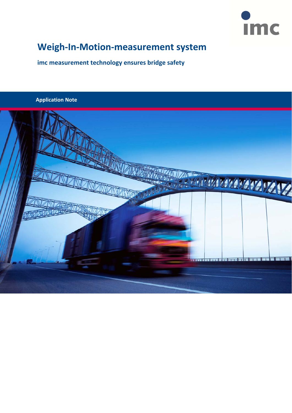

# **Weigh‐In‐Motion‐measurement system**

**imc measurement technology ensures bridge safety**

### **Application Note**

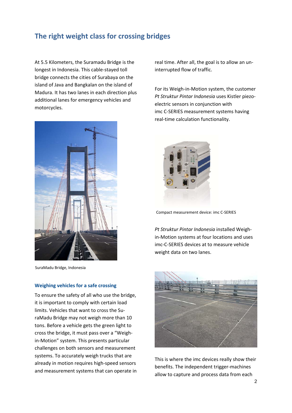# **The right weight class for crossing bridges**

At 5.5 Kilometers, the Suramadu Bridge is the longest in Indonesia. This cable‐stayed toll bridge connects the cities of Surabaya on the island of Java and Bangkalan on the island of Madura. It has two lanes in each direction plus additional lanes for emergency vehicles and motorcycles.



SuraMadu Bridge, Indonesia

#### **Weighing vehicles for a safe crossing**

To ensure the safety of all who use the bridge, it is important to comply with certain load limits. Vehicles that want to cross the Su‐ raMadu Bridge may not weigh more than 10 tons. Before a vehicle gets the green light to cross the bridge, it must pass over a "Weigh‐ in‐Motion" system. This presents particular challenges on both sensors and measurement systems. To accurately weigh trucks that are already in motion requires high‐speed sensors and measurement systems that can operate in real time. After all, the goal is to allow an un‐ interrupted flow of traffic.

For its Weigh‐in‐Motion system, the customer *Pt Struktur Pintar Indonesia* uses Kistler piezo‐ electric sensors in conjunction with imc C‐SERIES measurement systems having real‐time calculation functionality.



Compact measurement device: imc C‐SERIES

*Pt Struktur Pintar Indonesia* installed Weigh‐ in‐Motion systems at four locations and uses imc‐C‐SERIES devices at to measure vehicle weight data on two lanes.



This is where the imc devices really show their benefits. The independent trigger‐machines allow to capture and process data from each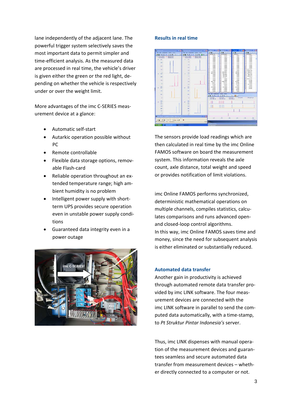lane independently of the adjacent lane. The powerful trigger system selectively saves the most important data to permit simpler and time‐efficient analysis. As the measured data are processed in real time, the vehicle's driver is given either the green or the red light, de‐ pending on whether the vehicle is respectively under or over the weight limit.

More advantages of the imc C‐SERIES meas‐ urement device at a glance:

- Automatic self‐start
- Autarkic operation possible without PC
- Remote controllable
- Flexible data storage options, removable Flash‐card
- Reliable operation throughout an ex‐ tended temperature range; high am‐ bient humidity is no problem
- Intelligent power supply with short‐ term UPS provides secure operation even in unstable power supply condi‐ tions
- Guaranteed data integrity even in a power outage



#### **Results in real time**



The sensors provide load readings which are then calculated in real time by the imc Online FAMOS software on board the measurement system. This information reveals the axle count, axle distance, total weight and speed or provides notification of limit violations.

imc Online FAMOS performs synchronized, deterministic mathematical operations on multiple channels, compiles statistics, calcu‐ lates comparisons and runs advanced open‐ and closed‐loop control algorithms. In this way, imc Online FAMOS saves time and money, since the need for subsequent analysis is either eliminated or substantially reduced.

#### **Automated data transfer**

Another gain in productivity is achieved through automated remote data transfer pro‐ vided by imc LINK software. The four meas‐ urement devices are connected with the imc LINK software in parallel to send the com‐ puted data automatically, with a time‐stamp, to *Pt Struktur Pintar Indonesia's* server.

Thus, imc LINK dispenses with manual opera‐ tion of the measurement devices and guaran‐ tees seamless and secure automated data transfer from measurement devices – wheth‐ er directly connected to a computer or not.